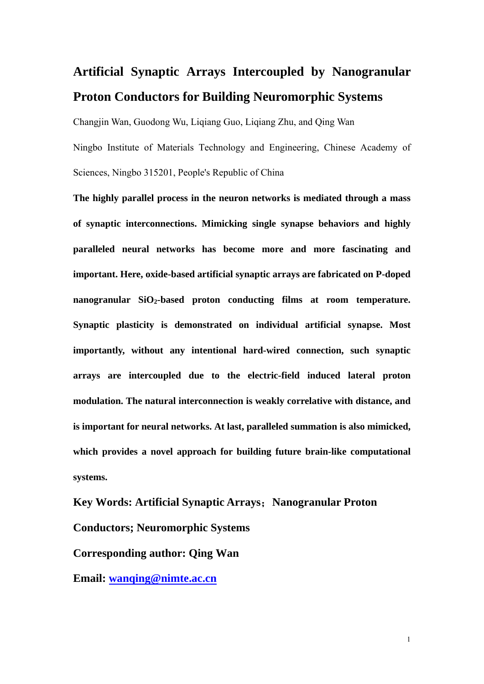## **Artificial Synaptic Arrays Intercoupled by Nanogranular Proton Conductors for Building Neuromorphic Systems**

Changjin Wan, Guodong Wu, Liqiang Guo, Liqiang Zhu, and Qing Wan Ningbo Institute of Materials Technology and Engineering, Chinese Academy of Sciences, Ningbo 315201, People's Republic of China

**The highly parallel process in the neuron networks is mediated through a mass of synaptic interconnections. Mimicking single synapse behaviors and highly paralleled neural networks has become more and more fascinating and important. Here, oxide-based artificial synaptic arrays are fabricated on P-doped**  nanogranular SiO<sub>2</sub>-based proton conducting films at room temperature. **Synaptic plasticity is demonstrated on individual artificial synapse. Most importantly, without any intentional hard-wired connection, such synaptic arrays are intercoupled due to the electric-field induced lateral proton modulation. The natural interconnection is weakly correlative with distance, and is important for neural networks. At last, paralleled summation is also mimicked, which provides a novel approach for building future brain-like computational systems.** 

**Key Words: Artificial Synaptic Arrays**;**Nanogranular Proton Conductors; Neuromorphic Systems Corresponding author: Qing Wan** 

**Email: wanqing@nimte.ac.cn**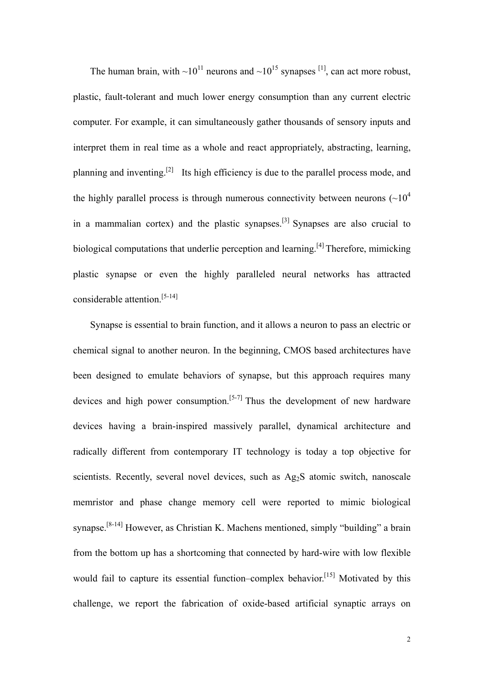The human brain, with  $\sim 10^{11}$  neurons and  $\sim 10^{15}$  synapses <sup>[1]</sup>, can act more robust, plastic, fault-tolerant and much lower energy consumption than any current electric computer. For example, it can simultaneously gather thousands of sensory inputs and interpret them in real time as a whole and react appropriately, abstracting, learning, planning and inventing.[2] Its high efficiency is due to the parallel process mode, and the highly parallel process is through numerous connectivity between neurons  $({\sim}10^4$ in a mammalian cortex) and the plastic synapses.[3] Synapses are also crucial to biological computations that underlie perception and learning.<sup>[4]</sup> Therefore, mimicking plastic synapse or even the highly paralleled neural networks has attracted considerable attention.[5-14]

Synapse is essential to brain function, and it allows a neuron to pass an electric or chemical signal to another neuron. In the beginning, CMOS based architectures have been designed to emulate behaviors of synapse, but this approach requires many devices and high power consumption.<sup>[5-7]</sup> Thus the development of new hardware devices having a brain-inspired massively parallel, dynamical architecture and radically different from contemporary IT technology is today a top objective for scientists. Recently, several novel devices, such as Ag<sub>2</sub>S atomic switch, nanoscale memristor and phase change memory cell were reported to mimic biological synapse.[8-14] However, as Christian K. Machens mentioned, simply "building" a brain from the bottom up has a shortcoming that connected by hard-wire with low flexible would fail to capture its essential function–complex behavior.<sup>[15]</sup> Motivated by this challenge, we report the fabrication of oxide-based artificial synaptic arrays on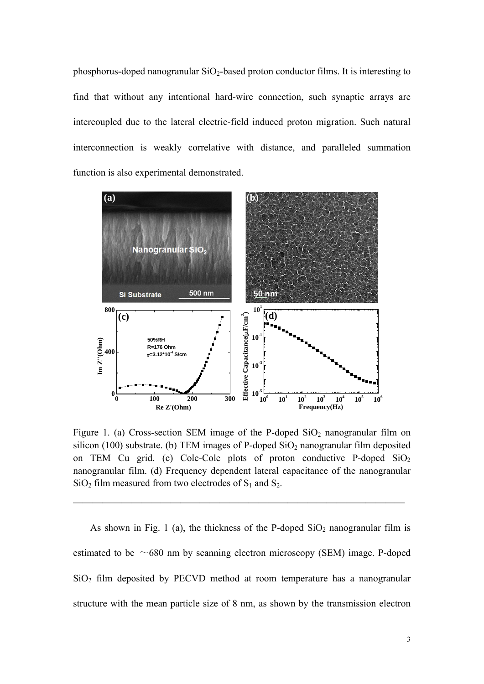phosphorus-doped nanogranular  $SiO<sub>2</sub>$ -based proton conductor films. It is interesting to find that without any intentional hard-wire connection, such synaptic arrays are intercoupled due to the lateral electric-field induced proton migration. Such natural interconnection is weakly correlative with distance, and paralleled summation function is also experimental demonstrated.



Figure 1. (a) Cross-section SEM image of the P-doped  $SiO<sub>2</sub>$  nanogranular film on silicon (100) substrate. (b) TEM images of P-doped  $SiO<sub>2</sub>$  nanogranular film deposited on TEM Cu grid. (c) Cole-Cole plots of proton conductive P-doped  $SiO<sub>2</sub>$ nanogranular film. (d) Frequency dependent lateral capacitance of the nanogranular  $SiO<sub>2</sub>$  film measured from two electrodes of  $S<sub>1</sub>$  and  $S<sub>2</sub>$ .

——————————————————————————————————

As shown in Fig. 1 (a), the thickness of the P-doped  $SiO<sub>2</sub>$  nanogranular film is estimated to be  $~\sim$  680 nm by scanning electron microscopy (SEM) image. P-doped SiO2 film deposited by PECVD method at room temperature has a nanogranular structure with the mean particle size of 8 nm, as shown by the transmission electron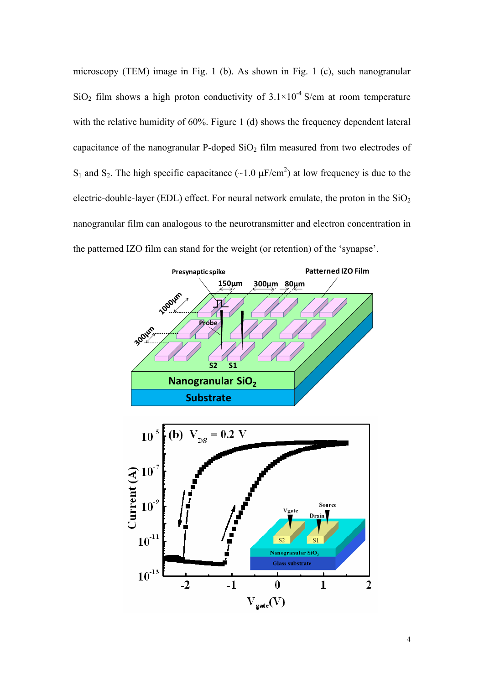microscopy (TEM) image in Fig. 1 (b). As shown in Fig. 1 (c), such nanogranular SiO<sub>2</sub> film shows a high proton conductivity of  $3.1 \times 10^{-4}$  S/cm at room temperature with the relative humidity of 60%. Figure 1 (d) shows the frequency dependent lateral capacitance of the nanogranular P-doped  $SiO<sub>2</sub>$  film measured from two electrodes of  $S_1$  and  $S_2$ . The high specific capacitance (~1.0  $\mu$ F/cm<sup>2</sup>) at low frequency is due to the electric-double-layer (EDL) effect. For neural network emulate, the proton in the  $SiO<sub>2</sub>$ nanogranular film can analogous to the neurotransmitter and electron concentration in the patterned IZO film can stand for the weight (or retention) of the 'synapse'.

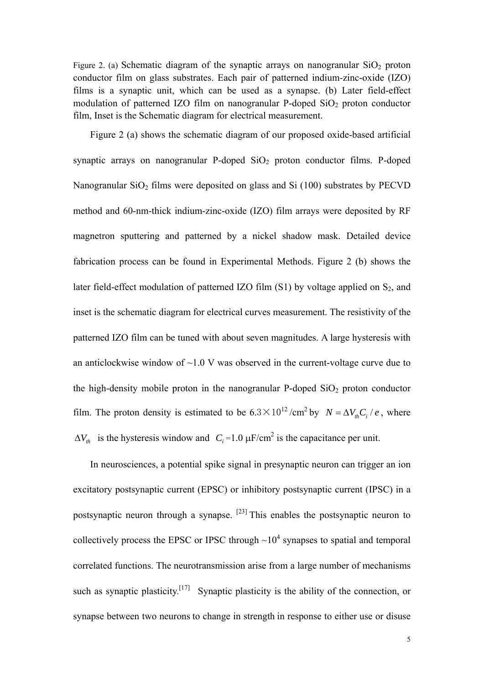Figure 2. (a) Schematic diagram of the synaptic arrays on nanogranular  $SiO<sub>2</sub>$  proton conductor film on glass substrates. Each pair of patterned indium-zinc-oxide (IZO) films is a synaptic unit, which can be used as a synapse. (b) Later field-effect modulation of patterned IZO film on nanogranular P-doped  $SiO<sub>2</sub>$  proton conductor film, Inset is the Schematic diagram for electrical measurement.

Figure 2 (a) shows the schematic diagram of our proposed oxide-based artificial synaptic arrays on nanogranular P-doped  $SiO<sub>2</sub>$  proton conductor films. P-doped Nanogranular  $SiO<sub>2</sub>$  films were deposited on glass and  $Si(100)$  substrates by PECVD method and 60-nm-thick indium-zinc-oxide (IZO) film arrays were deposited by RF magnetron sputtering and patterned by a nickel shadow mask. Detailed device fabrication process can be found in Experimental Methods. Figure 2 (b) shows the later field-effect modulation of patterned IZO film  $(S1)$  by voltage applied on  $S_2$ , and inset is the schematic diagram for electrical curves measurement. The resistivity of the patterned IZO film can be tuned with about seven magnitudes. A large hysteresis with an anticlockwise window of  $\sim$ 1.0 V was observed in the current-voltage curve due to the high-density mobile proton in the nanogranular P-doped  $SiO<sub>2</sub>$  proton conductor film. The proton density is estimated to be  $6.3 \times 10^{12} / \text{cm}^2$  by  $N = \Delta V_u C_i / e$ , where  $\Delta V_{th}$  is the hysteresis window and  $C_i = 1.0 \mu F/cm^2$  is the capacitance per unit.

In neurosciences, a potential spike signal in presynaptic neuron can trigger an ion excitatory postsynaptic current (EPSC) or inhibitory postsynaptic current (IPSC) in a postsynaptic neuron through a synapse. [23] This enables the postsynaptic neuron to collectively process the EPSC or IPSC through  $\sim 10^4$  synapses to spatial and temporal correlated functions. The neurotransmission arise from a large number of mechanisms such as synaptic plasticity.<sup>[17]</sup> Synaptic plasticity is the ability of the connection, or synapse between two neurons to change in strength in response to either use or disuse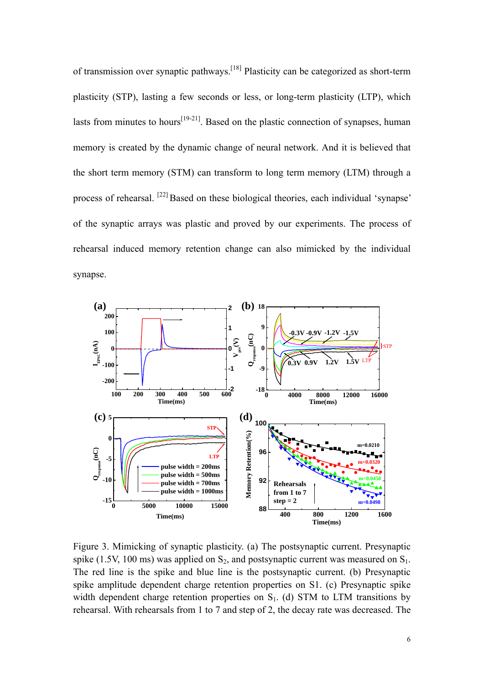of transmission over synaptic pathways.[18] Plasticity can be categorized as short-term plasticity (STP), lasting a few seconds or less, or long-term plasticity (LTP), which lasts from minutes to hours<sup>[19-21]</sup>. Based on the plastic connection of synapses, human memory is created by the dynamic change of neural network. And it is believed that the short term memory (STM) can transform to long term memory (LTM) through a process of rehearsal. [22] Based on these biological theories, each individual 'synapse' of the synaptic arrays was plastic and proved by our experiments. The process of rehearsal induced memory retention change can also mimicked by the individual synapse.



Figure 3. Mimicking of synaptic plasticity. (a) The postsynaptic current. Presynaptic spike (1.5V, 100 ms) was applied on  $S_2$ , and postsynaptic current was measured on  $S_1$ . The red line is the spike and blue line is the postsynaptic current. (b) Presynaptic spike amplitude dependent charge retention properties on S1. (c) Presynaptic spike width dependent charge retention properties on  $S<sub>1</sub>$ . (d) STM to LTM transitions by rehearsal. With rehearsals from 1 to 7 and step of 2, the decay rate was decreased. The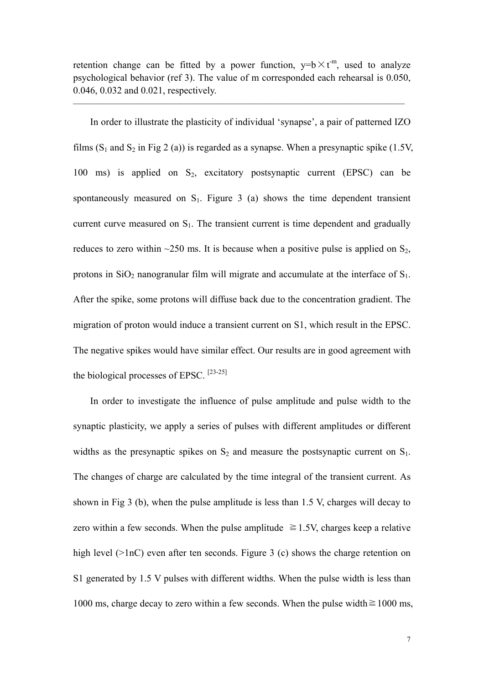retention change can be fitted by a power function,  $y=b \times t^m$ , used to analyze psychological behavior (ref 3). The value of m corresponded each rehearsal is 0.050, 0.046, 0.032 and 0.021, respectively.

——————————————————————————————————

In order to illustrate the plasticity of individual 'synapse', a pair of patterned IZO films  $(S_1$  and  $S_2$  in Fig 2 (a)) is regarded as a synapse. When a presynaptic spike (1.5V, 100 ms) is applied on  $S_2$ , excitatory postsynaptic current (EPSC) can be spontaneously measured on  $S_1$ . Figure 3 (a) shows the time dependent transient current curve measured on  $S<sub>1</sub>$ . The transient current is time dependent and gradually reduces to zero within  $\sim$ 250 ms. It is because when a positive pulse is applied on S<sub>2</sub>, protons in  $SiO<sub>2</sub>$  nanogranular film will migrate and accumulate at the interface of  $S<sub>1</sub>$ . After the spike, some protons will diffuse back due to the concentration gradient. The migration of proton would induce a transient current on S1, which result in the EPSC. The negative spikes would have similar effect. Our results are in good agreement with the biological processes of EPSC.  $[23-25]$ 

In order to investigate the influence of pulse amplitude and pulse width to the synaptic plasticity, we apply a series of pulses with different amplitudes or different widths as the presynaptic spikes on  $S_2$  and measure the postsynaptic current on  $S_1$ . The changes of charge are calculated by the time integral of the transient current. As shown in Fig 3 (b), when the pulse amplitude is less than 1.5 V, charges will decay to zero within a few seconds. When the pulse amplitude  $\geq 1.5V$ , charges keep a relative high level (>1nC) even after ten seconds. Figure 3 (c) shows the charge retention on S1 generated by 1.5 V pulses with different widths. When the pulse width is less than 1000 ms, charge decay to zero within a few seconds. When the pulse width $\geq 1000$  ms,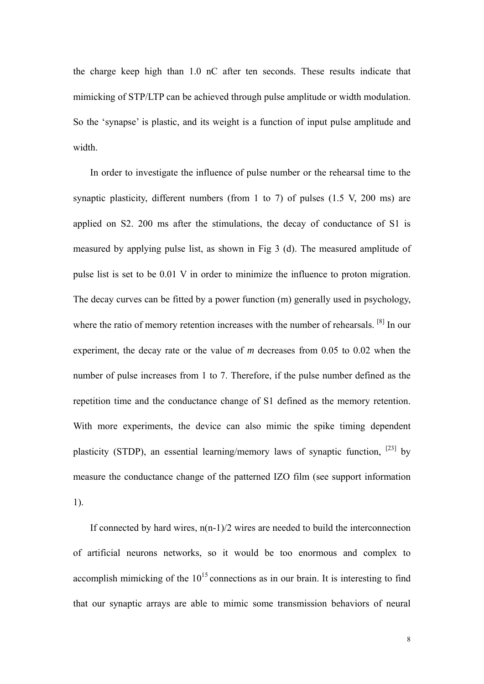the charge keep high than 1.0 nC after ten seconds. These results indicate that mimicking of STP/LTP can be achieved through pulse amplitude or width modulation. So the 'synapse' is plastic, and its weight is a function of input pulse amplitude and width.

In order to investigate the influence of pulse number or the rehearsal time to the synaptic plasticity, different numbers (from 1 to 7) of pulses (1.5 V, 200 ms) are applied on S2. 200 ms after the stimulations, the decay of conductance of S1 is measured by applying pulse list, as shown in Fig 3 (d). The measured amplitude of pulse list is set to be 0.01 V in order to minimize the influence to proton migration. The decay curves can be fitted by a power function (m) generally used in psychology, where the ratio of memory retention increases with the number of rehearsals. <sup>[8]</sup> In our experiment, the decay rate or the value of *m* decreases from 0.05 to 0.02 when the number of pulse increases from 1 to 7. Therefore, if the pulse number defined as the repetition time and the conductance change of S1 defined as the memory retention. With more experiments, the device can also mimic the spike timing dependent plasticity (STDP), an essential learning/memory laws of synaptic function,  $[23]$  by measure the conductance change of the patterned IZO film (see support information 1).

If connected by hard wires,  $n(n-1)/2$  wires are needed to build the interconnection of artificial neurons networks, so it would be too enormous and complex to accomplish mimicking of the  $10^{15}$  connections as in our brain. It is interesting to find that our synaptic arrays are able to mimic some transmission behaviors of neural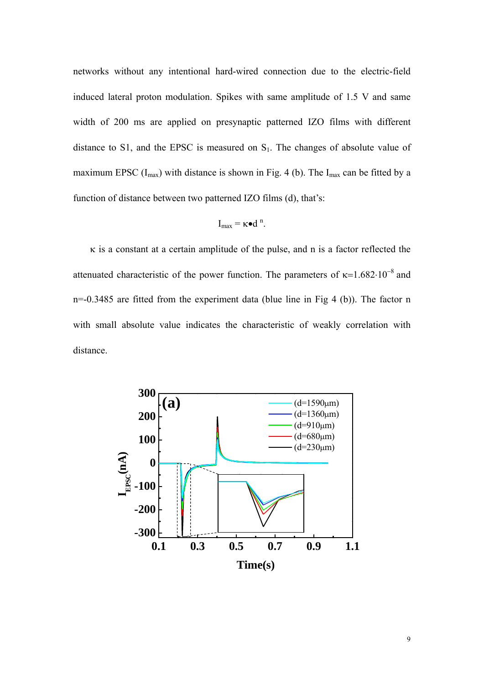networks without any intentional hard-wired connection due to the electric-field induced lateral proton modulation. Spikes with same amplitude of 1.5 V and same width of 200 ms are applied on presynaptic patterned IZO films with different distance to S1, and the EPSC is measured on  $S<sub>1</sub>$ . The changes of absolute value of maximum EPSC  $(I_{max})$  with distance is shown in Fig. 4 (b). The  $I_{max}$  can be fitted by a function of distance between two patterned IZO films (d), that's:

$$
I_{max} = \kappa \bullet d^{n}.
$$

 $\kappa$  is a constant at a certain amplitude of the pulse, and n is a factor reflected the attenuated characteristic of the power function. The parameters of  $\kappa=1.682 \cdot 10^{-8}$  and n=-0.3485 are fitted from the experiment data (blue line in Fig 4 (b)). The factor n with small absolute value indicates the characteristic of weakly correlation with distance.

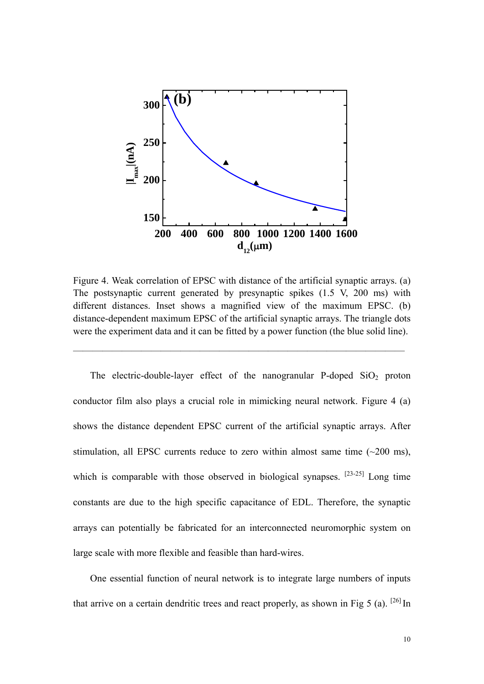

Figure 4. Weak correlation of EPSC with distance of the artificial synaptic arrays. (a) The postsynaptic current generated by presynaptic spikes (1.5 V, 200 ms) with different distances. Inset shows a magnified view of the maximum EPSC. (b) distance-dependent maximum EPSC of the artificial synaptic arrays. The triangle dots were the experiment data and it can be fitted by a power function (the blue solid line).

 $\overline{\phantom{a}}$  , and the contract of the contract of the contract of  $\overline{\phantom{a}}$ 

The electric-double-layer effect of the nanogranular P-doped  $SiO<sub>2</sub>$  proton conductor film also plays a crucial role in mimicking neural network. Figure 4 (a) shows the distance dependent EPSC current of the artificial synaptic arrays. After stimulation, all EPSC currents reduce to zero within almost same time  $(\sim 200 \text{ ms})$ , which is comparable with those observed in biological synapses.  $[23-25]$  Long time constants are due to the high specific capacitance of EDL. Therefore, the synaptic arrays can potentially be fabricated for an interconnected neuromorphic system on large scale with more flexible and feasible than hard-wires.

One essential function of neural network is to integrate large numbers of inputs that arrive on a certain dendritic trees and react properly, as shown in Fig 5 (a). <sup>[26]</sup> In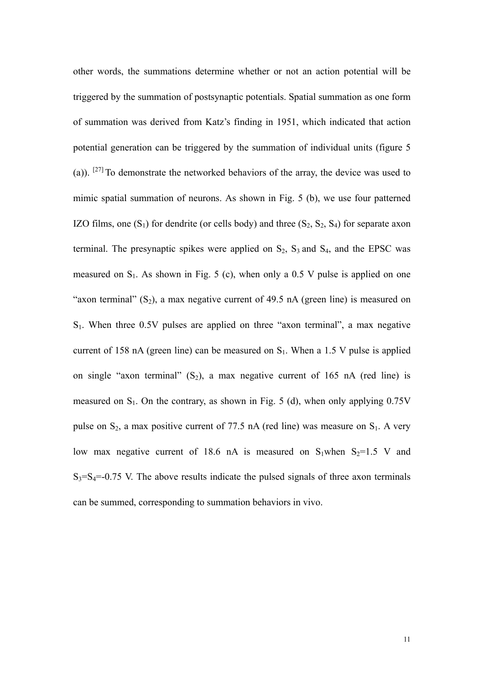other words, the summations determine whether or not an action potential will be triggered by the summation of postsynaptic potentials. Spatial summation as one form of summation was derived from Katz's finding in 1951, which indicated that action potential generation can be triggered by the summation of individual units (figure 5 (a)). [27] To demonstrate the networked behaviors of the array, the device was used to mimic spatial summation of neurons. As shown in Fig. 5 (b), we use four patterned IZO films, one  $(S_1)$  for dendrite (or cells body) and three  $(S_2, S_2, S_4)$  for separate axon terminal. The presynaptic spikes were applied on  $S_2$ ,  $S_3$  and  $S_4$ , and the EPSC was measured on  $S_1$ . As shown in Fig. 5 (c), when only a 0.5 V pulse is applied on one "axon terminal"  $(S_2)$ , a max negative current of 49.5 nA (green line) is measured on S1. When three 0.5V pulses are applied on three "axon terminal", a max negative current of 158 nA (green line) can be measured on  $S_1$ . When a 1.5 V pulse is applied on single "axon terminal"  $(S_2)$ , a max negative current of 165 nA (red line) is measured on  $S_1$ . On the contrary, as shown in Fig. 5 (d), when only applying 0.75V pulse on  $S_2$ , a max positive current of 77.5 nA (red line) was measure on  $S_1$ . A very low max negative current of 18.6 nA is measured on S<sub>1</sub>when S<sub>2</sub>=1.5 V and  $S_3 = S_4 = -0.75$  V. The above results indicate the pulsed signals of three axon terminals can be summed, corresponding to summation behaviors in vivo.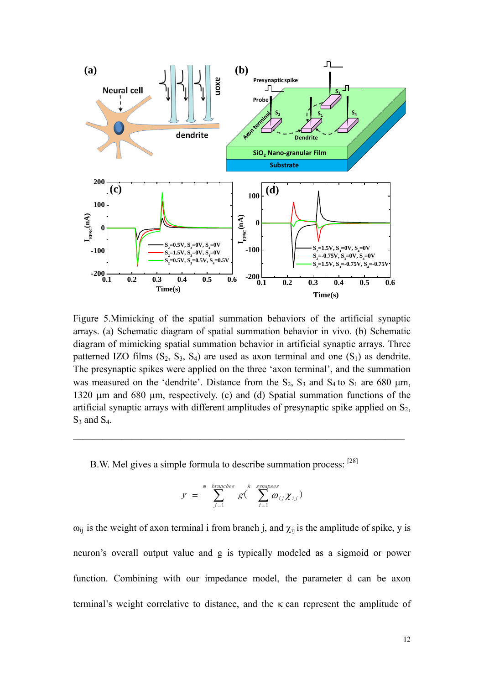

Figure 5.Mimicking of the spatial summation behaviors of the artificial synaptic arrays. (a) Schematic diagram of spatial summation behavior in vivo. (b) Schematic diagram of mimicking spatial summation behavior in artificial synaptic arrays. Three patterned IZO films  $(S_2, S_3, S_4)$  are used as axon terminal and one  $(S_1)$  as dendrite. The presynaptic spikes were applied on the three 'axon terminal', and the summation was measured on the 'dendrite'. Distance from the  $S_2$ ,  $S_3$  and  $S_4$  to  $S_1$  are 680  $\mu$ m, 1320 µm and 680 µm, respectively. (c) and (d) Spatial summation functions of the artificial synaptic arrays with different amplitudes of presynaptic spike applied on  $S_2$ ,  $S_3$  and  $S_4$ .

B.W. Mel gives a simple formula to describe summation process: [28]

$$
y = \sum_{j=1}^{m} \sum_{j=1}^{branches} g\left(\sum_{i=1}^{k} \omega_{ij} \chi_{ij}\right)
$$

——————————————————————————————————

 $\omega_{ij}$  is the weight of axon terminal i from branch j, and  $\chi_{ij}$  is the amplitude of spike, y is neuron's overall output value and g is typically modeled as a sigmoid or power function. Combining with our impedance model, the parameter d can be axon terminal's weight correlative to distance, and the  $\kappa$  can represent the amplitude of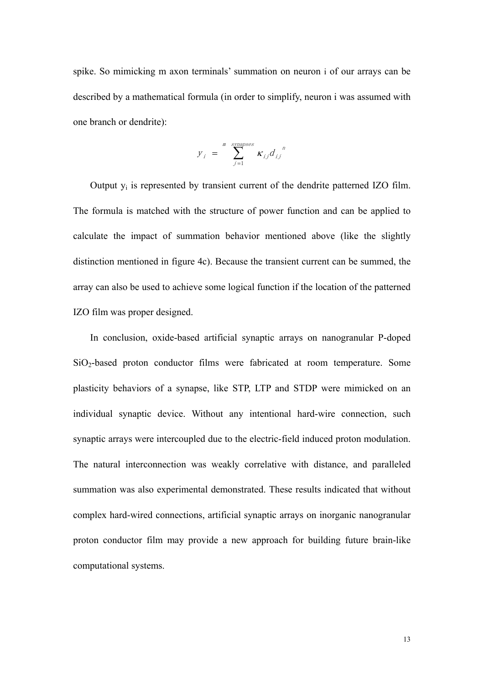spike. So mimicking m axon terminals' summation on neuron i of our arrays can be described by a mathematical formula (in order to simplify, neuron i was assumed with one branch or dendrite):

$$
y_i = \sum_{j=1}^{m} \sum_{j=1}^{synapses} \kappa_{ij} d_{ij}^{r}
$$

Output yi is represented by transient current of the dendrite patterned IZO film. The formula is matched with the structure of power function and can be applied to calculate the impact of summation behavior mentioned above (like the slightly distinction mentioned in figure 4c). Because the transient current can be summed, the array can also be used to achieve some logical function if the location of the patterned IZO film was proper designed.

In conclusion, oxide-based artificial synaptic arrays on nanogranular P-doped SiO2-based proton conductor films were fabricated at room temperature. Some plasticity behaviors of a synapse, like STP, LTP and STDP were mimicked on an individual synaptic device. Without any intentional hard-wire connection, such synaptic arrays were intercoupled due to the electric-field induced proton modulation. The natural interconnection was weakly correlative with distance, and paralleled summation was also experimental demonstrated. These results indicated that without complex hard-wired connections, artificial synaptic arrays on inorganic nanogranular proton conductor film may provide a new approach for building future brain-like computational systems.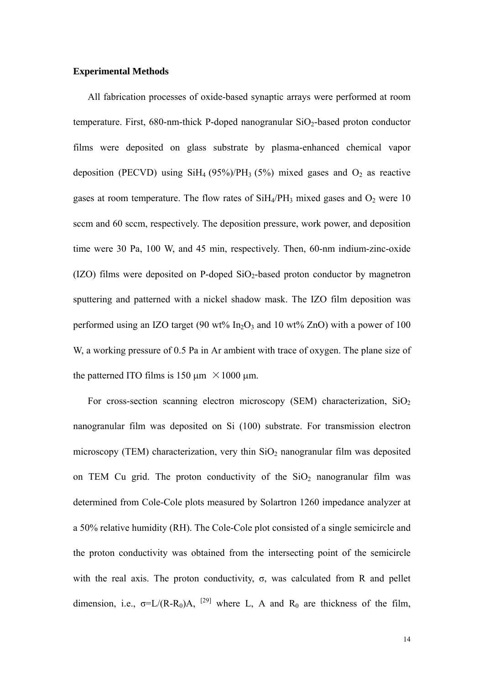## **Experimental Methods**

All fabrication processes of oxide-based synaptic arrays were performed at room temperature. First,  $680$ -nm-thick P-doped nanogranular  $SiO<sub>2</sub>$ -based proton conductor films were deposited on glass substrate by plasma-enhanced chemical vapor deposition (PECVD) using  $SiH_4$  (95%)/PH<sub>3</sub> (5%) mixed gases and  $O_2$  as reactive gases at room temperature. The flow rates of  $SiH<sub>4</sub>/PH<sub>3</sub>$  mixed gases and  $O<sub>2</sub>$  were 10 sccm and 60 sccm, respectively. The deposition pressure, work power, and deposition time were 30 Pa, 100 W, and 45 min, respectively. Then, 60-nm indium-zinc-oxide (IZO) films were deposited on P-doped  $SiO<sub>2</sub>$ -based proton conductor by magnetron sputtering and patterned with a nickel shadow mask. The IZO film deposition was performed using an IZO target (90 wt% In<sub>2</sub>O<sub>3</sub> and 10 wt% ZnO) with a power of 100 W, a working pressure of 0.5 Pa in Ar ambient with trace of oxygen. The plane size of the patterned ITO films is 150  $\mu$ m ×1000  $\mu$ m.

For cross-section scanning electron microscopy (SEM) characterization,  $SiO<sub>2</sub>$ nanogranular film was deposited on Si (100) substrate. For transmission electron microscopy (TEM) characterization, very thin  $SiO<sub>2</sub>$  nanogranular film was deposited on TEM Cu grid. The proton conductivity of the  $SiO<sub>2</sub>$  nanogranular film was determined from Cole-Cole plots measured by Solartron 1260 impedance analyzer at a 50% relative humidity (RH). The Cole-Cole plot consisted of a single semicircle and the proton conductivity was obtained from the intersecting point of the semicircle with the real axis. The proton conductivity,  $\sigma$ , was calculated from R and pellet dimension, i.e.,  $\sigma = L/(R-R_0)A$ , <sup>[29]</sup> where L, A and R<sub>0</sub> are thickness of the film,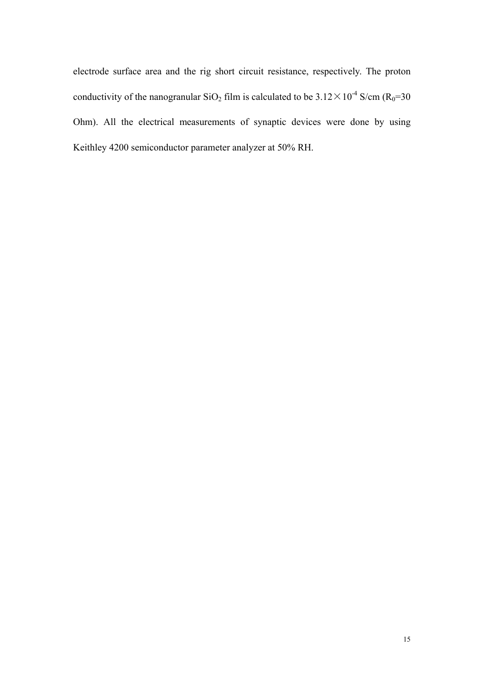electrode surface area and the rig short circuit resistance, respectively. The proton conductivity of the nanogranular SiO<sub>2</sub> film is calculated to be  $3.12 \times 10^{-4}$  S/cm (R<sub>0</sub>=30 Ohm). All the electrical measurements of synaptic devices were done by using Keithley 4200 semiconductor parameter analyzer at 50% RH.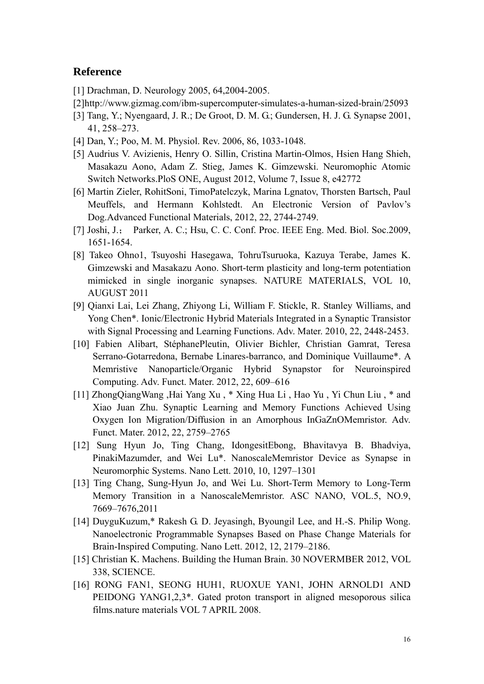## **Reference**

- [1] Drachman, D. Neurology 2005, 64,2004-2005.
- [2]http://www.gizmag.com/ibm-supercomputer-simulates-a-human-sized-brain/25093
- [3] Tang, Y.; Nyengaard, J. R.; De Groot, D. M. G.; Gundersen, H. J. G. Synapse 2001, 41, 258–273.
- [4] Dan, Y.; Poo, M. M. Physiol. Rev. 2006, 86, 1033-1048.
- [5] Audrius V. Avizienis, Henry O. Sillin, Cristina Martin-Olmos, Hsien Hang Shieh, Masakazu Aono, Adam Z. Stieg, James K. Gimzewski. Neuromophic Atomic Switch Networks.PloS ONE, August 2012, Volume 7, Issue 8, e42772
- [6] Martin Zieler, RohitSoni, TimoPatelczyk, Marina Lgnatov, Thorsten Bartsch, Paul Meuffels, and Hermann Kohlstedt. An Electronic Version of Pavlov's Dog.Advanced Functional Materials, 2012, 22, 2744-2749.
- [7] Joshi, J.; Parker, A. C.; Hsu, C. C. Conf. Proc. IEEE Eng. Med. Biol. Soc.2009, 1651-1654.
- [8] Takeo Ohno1, Tsuyoshi Hasegawa, TohruTsuruoka, Kazuya Terabe, James K. Gimzewski and Masakazu Aono. Short-term plasticity and long-term potentiation mimicked in single inorganic synapses. NATURE MATERIALS, VOL 10, AUGUST 2011
- [9] Qianxi Lai, Lei Zhang, Zhiyong Li, William F. Stickle, R. Stanley Williams, and Yong Chen\*. Ionic/Electronic Hybrid Materials Integrated in a Synaptic Transistor with Signal Processing and Learning Functions. Adv. Mater. 2010, 22, 2448-2453.
- [10] Fabien Alibart, StéphanePleutin, Olivier Bichler, Christian Gamrat, Teresa Serrano-Gotarredona, Bernabe Linares-barranco, and Dominique Vuillaume\*. A Memristive Nanoparticle/Organic Hybrid Synapstor for Neuroinspired Computing. Adv. Funct. Mater. 2012, 22, 609–616
- [11] ZhongQiangWang ,Hai Yang Xu , \* Xing Hua Li , Hao Yu , Yi Chun Liu , \* and Xiao Juan Zhu. Synaptic Learning and Memory Functions Achieved Using Oxygen Ion Migration/Diffusion in an Amorphous InGaZnOMemristor. Adv. Funct. Mater. 2012, 22, 2759–2765
- [12] Sung Hyun Jo, Ting Chang, IdongesitEbong, Bhavitavya B. Bhadviya, PinakiMazumder, and Wei Lu\*. NanoscaleMemristor Device as Synapse in Neuromorphic Systems. Nano Lett. 2010, 10, 1297–1301
- [13] Ting Chang, Sung-Hyun Jo, and Wei Lu. Short-Term Memory to Long-Term Memory Transition in a NanoscaleMemristor. ASC NANO, VOL.5, NO.9, 7669–7676,2011
- [14] DuyguKuzum,\* Rakesh G. D. Jeyasingh, Byoungil Lee, and H.-S. Philip Wong. Nanoelectronic Programmable Synapses Based on Phase Change Materials for Brain-Inspired Computing. Nano Lett. 2012, 12, 2179–2186.
- [15] Christian K. Machens. Building the Human Brain. 30 NOVERMBER 2012, VOL 338, SCIENCE.
- [16] RONG FAN1, SEONG HUH1, RUOXUE YAN1, JOHN ARNOLD1 AND PEIDONG YANG1,2,3\*. Gated proton transport in aligned mesoporous silica films.nature materials VOL 7 APRIL 2008.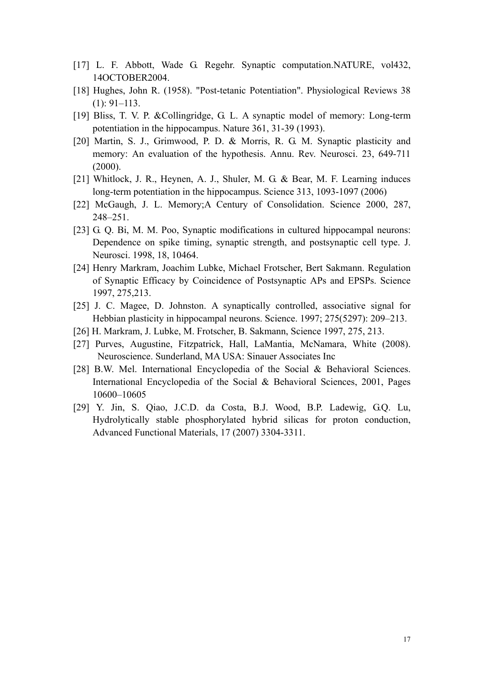- [17] L. F. Abbott, Wade G. Regehr. Synaptic computation.NATURE, vol432, 14OCTOBER2004.
- [18] Hughes, John R. (1958). "Post-tetanic Potentiation". Physiological Reviews 38 (1): 91–113.
- [19] Bliss, T. V. P. &Collingridge, G. L. A synaptic model of memory: Long-term potentiation in the hippocampus. Nature 361, 31-39 (1993).
- [20] Martin, S. J., Grimwood, P. D. & Morris, R. G. M. Synaptic plasticity and memory: An evaluation of the hypothesis. Annu. Rev. Neurosci. 23, 649-711 (2000).
- [21] Whitlock, J. R., Heynen, A. J., Shuler, M. G. & Bear, M. F. Learning induces long-term potentiation in the hippocampus. Science 313, 1093-1097 (2006)
- [22] McGaugh, J. L. Memory;A Century of Consolidation. Science 2000, 287, 248–251.
- [23] G. Q. Bi, M. M. Poo, Synaptic modifications in cultured hippocampal neurons: Dependence on spike timing, synaptic strength, and postsynaptic cell type. J. Neurosci. 1998, 18, 10464.
- [24] Henry Markram, Joachim Lubke, Michael Frotscher, Bert Sakmann. Regulation of Synaptic Efficacy by Coincidence of Postsynaptic APs and EPSPs. Science 1997, 275,213.
- [25] J. C. Magee, D. Johnston. A synaptically controlled, associative signal for Hebbian plasticity in hippocampal neurons. Science. 1997; 275(5297): 209–213.
- [26] H. Markram, J. Lubke, M. Frotscher, B. Sakmann, Science 1997, 275, 213.
- [27] Purves, Augustine, Fitzpatrick, Hall, LaMantia, McNamara, White (2008). Neuroscience. Sunderland, MA USA: Sinauer Associates Inc
- [28] B.W. Mel. International Encyclopedia of the Social & Behavioral Sciences. International Encyclopedia of the Social & Behavioral Sciences, 2001, Pages 10600–10605
- [29] Y. Jin, S. Qiao, J.C.D. da Costa, B.J. Wood, B.P. Ladewig, G.Q. Lu, Hydrolytically stable phosphorylated hybrid silicas for proton conduction, Advanced Functional Materials, 17 (2007) 3304-3311.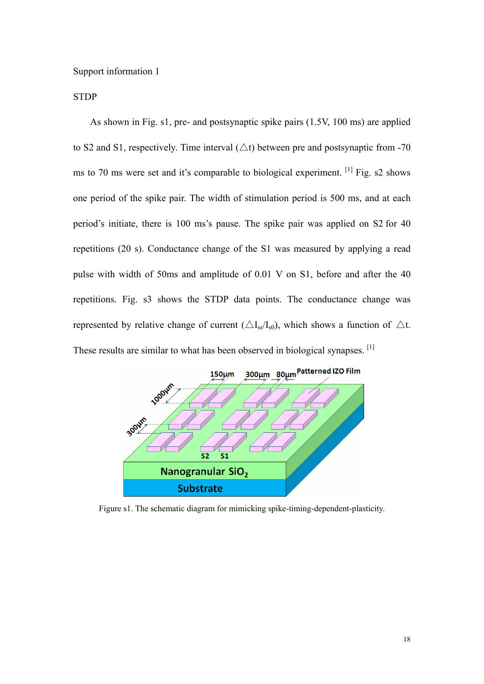Support information 1

**STDP** 

As shown in Fig. s1, pre- and postsynaptic spike pairs (1.5V, 100 ms) are applied to S2 and S1, respectively. Time interval  $(\triangle t)$  between pre and postsynaptic from -70 ms to 70 ms were set and it's comparable to biological experiment. <sup>[1]</sup> Fig. s2 shows one period of the spike pair. The width of stimulation period is 500 ms, and at each period's initiate, there is 100 ms's pause. The spike pair was applied on S2 for 40 repetitions (20 s). Conductance change of the S1 was measured by applying a read pulse with width of 50ms and amplitude of 0.01 V on S1, before and after the 40 repetitions. Fig. s3 shows the STDP data points. The conductance change was represented by relative change of current ( $\triangle I_{ss}/I_{s0}$ ), which shows a function of  $\triangle t$ . These results are similar to what has been observed in biological synapses. <sup>[1]</sup>



Figure s1. The schematic diagram for mimicking spike-timing-dependent-plasticity.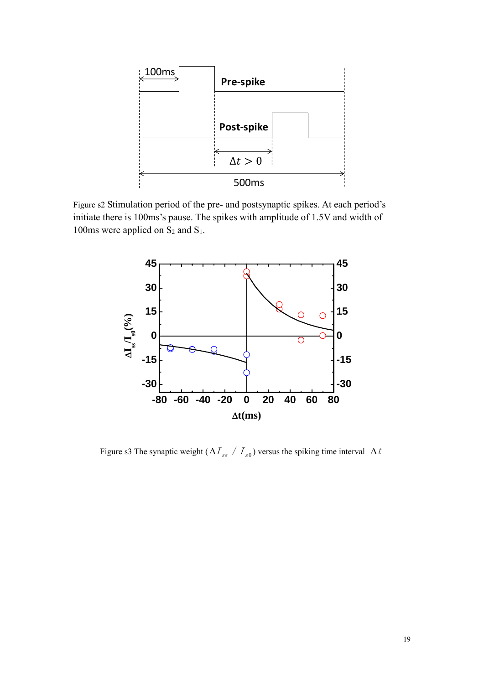

Figure s2 Stimulation period of the pre- and postsynaptic spikes. At each period's initiate there is 100ms's pause. The spikes with amplitude of 1.5V and width of 100ms were applied on  $S_2$  and  $S_1$ .



Figure s3 The synaptic weight ( $\Delta I_{ss} / I_{s0}$ ) versus the spiking time interval  $\Delta t$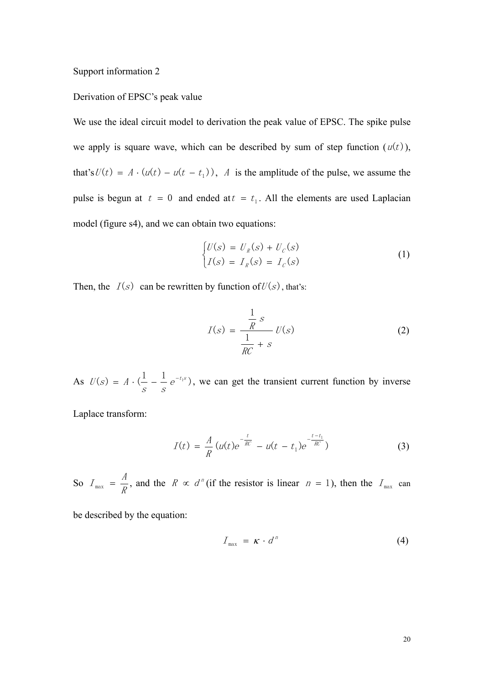Support information 2

## Derivation of EPSC's peak value

We use the ideal circuit model to derivation the peak value of EPSC. The spike pulse we apply is square wave, which can be described by sum of step function  $(u(t))$ , that's  $U(t) = A \cdot (u(t) - u(t - t_1))$ , A is the amplitude of the pulse, we assume the pulse is begun at  $t = 0$  and ended at  $t = t_1$ . All the elements are used Laplacian model (figure s4), and we can obtain two equations:

$$
\begin{cases}\nU(s) = U_R(s) + U_C(s) \\
I(s) = I_R(s) = I_C(s)\n\end{cases}
$$
\n(1)

Then, the  $I(s)$  can be rewritten by function of  $U(s)$ , that's:

$$
I(s) = \frac{\frac{1}{R}s}{\frac{1}{RC} + s}
$$
 (2)

As  $U(s) = A \cdot (\frac{1}{s} - \frac{1}{s} e^{-t_1 s})$  $U(s) = A \cdot (1 - 1) e^{-t_1 s}$ , we can get the transient current function by inverse

Laplace transform:

$$
I(t) = \frac{A}{R} (u(t)e^{-\frac{t}{RC}} - u(t - t_1)e^{-\frac{t - t_1}{RC}})
$$
(3)

So  $I_{\text{max}} = \frac{H}{R}$  $I_{\text{max}} = \frac{A}{R}$ , and the  $R \propto d^n$  (if the resistor is linear  $n = 1$ ), then the  $I_{\text{max}}$  can

be described by the equation:

$$
I_{\max} = \kappa \cdot d^n \tag{4}
$$